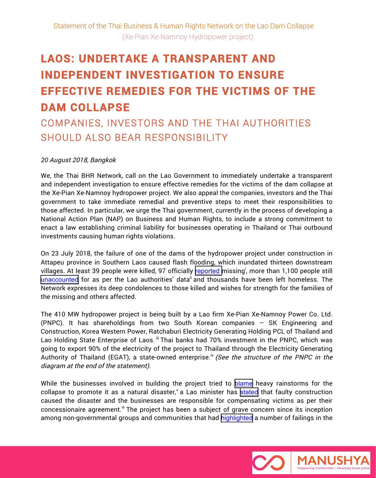# **LAOS: UNDERTAKE A TRANSPARENT AND INDEPENDENT INVESTIGATION TO ENSURE EFFECTIVE REMEDIES FOR THE VICTIMS OF THE DAM COLLAPSE**

## COMPANIES, INVESTORS AND THE THAI AUTHORITIES SHOULD ALSO BEAR RESPONSIBILITY

### *20* August 2018, Bangkok

We, the Thai BHR Network, call on the Lao Government to immediately undertake a transparent and independent investigation to ensure effective remedies for the victims of the dam collapse at the Xe-Pian Xe-Namnoy hydropower project. We also appeal the companies, investors and the Thai government to take immediate remedial and preventive steps to meet their responsibilities to those affected. In particular, we urge the Thai government, currently in the process of developing a National Action Plan (NAP) on Business and Human Rights, to include a strong commitment to enact a law establishing criminal liability for businesses operating in Thailand or Thai outbound investments causing human rights violations.

On 23 July 2018, the failure of one of the dams of the hydropower project under construction in Attapeu province in Southern Laos caused flash flooding, which inundated thirteen downstream villages. At least 39 people were killed, 97 officially <u>[reported](http://www.vientianetimes.org.la/FreeContent/FreeConten_Attapeu188.php)</u> missing<sup>i</sup>, more than 1,100 people still [unaccounted](https://www.aljazeera.com/news/2018/07/thick-mud-hampers-laos-flood-rescue-missing-180728110054375.html) for as per the Lao authorities' data<sup>ii</sup> and thousands have been left homeless. The Network expresses its deep condolences to those killed and wishes for strength for the families of the missing and others affected.

The 410 MW hydropower project is being built by a Lao firm Xe-Pian Xe-Namnoy Power Co. Ltd. (PNPC). It has shareholdings from two South Korean companies – SK Engineering and Construction, Korea Western Power, Ratchaburi Electricity Generating Holding PCL of Thailand and Lao Holding State Enterprise of Laos. iii Thai banks had 70% investment in the PNPC, which was going to export 90% of the electricity of the project to Thailand through the Electricity Generating Authority of Thailand (EGAT), a state-owned enterprise.<sup>iv</sup> (See the structure of the PNPC in the diagram at the end of the statement).

While the businesses involved in building the project tried to [blame](https://www.straitstimes.com/asia/se-asia/laos-dam-collapse-dam-fractured-following-monsoon-rainfall-three-times-greater-than) heavy rainstorms for the collapse to promote it as a natural disaster,  $\alpha$  Lao minister has [stated](http://raosukunfung.com/2018/07/27/%E0%BA%84%E0%BA%B9%E0%BA%81%E0%BA%B1%E0%BB%89%E0%BA%99%E0%BA%99%E0%BB%8D%E0%BB%89%E0%BA%B2%E0%BB%80%E0%BA%82%E0%BA%B7%E0%BB%88%E0%BA%AD%E0%BA%99%E0%BB%84%E0%BA%9F%E0%BA%9F%E0%BB%89%E0%BA%B2-%E0%BB%80/) that faulty construction caused the disaster and the businesses are responsible for compensating victims as per their concessionaire agreement.  $\dot{M}$  The project has been a subject of grave concern since its inception among non-governmental groups and communities that had [highlighted](https://www.internationalrivers.org/blogs/294/xe-pian%E2%80%93xe-namnoy-affected-people-want-consultation-before-construction) a number of failings in the

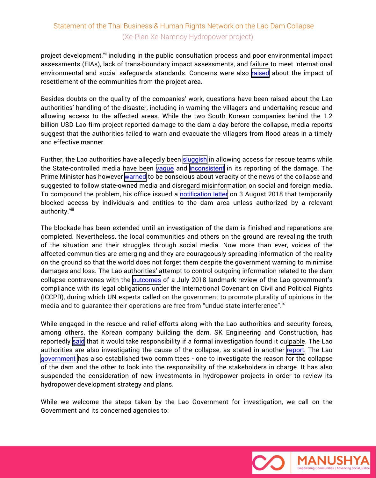### Statement of the Thai Business & Human Rights Network on the Lao Dam Collapse (Xe-Pian Xe-Namnoy Hydropower project)

project development,<sup>vii</sup> including in the public consultation process and poor environmental impact assessments (EIAs), lack of trans-boundary impact assessments, and failure to meet international environmental and social safeguards standards. Concerns were also [raised](https://www.internationalrivers.org/resources/letter-to-the-developers-of-the-xe-pian-xe-namnoy-dam-7896) about the impact of resettlement of the communities from the project area.

Besides doubts on the quality of the companies' work, questions have been raised about the Lao authorities' handling of the disaster, including in warning the villagers and undertaking rescue and allowing access to the affected areas. While the two South Korean companies behind the 1.2 billion USD Lao firm project reported damage to the dam a day before the collapse, media reports suggest that the authorities failed to warn and evacuate the villagers from flood areas in a timely and effective manner.

Further, the Lao authorities have allegedly been [sluggish](https://www.straitstimes.com/asia/se-asia/laos-dam-collapse-dam-fractured-following-monsoon-rainfall-three-times-greater-than) in allowing access for rescue teams while the State-controlled media have been [vague](https://www.nytimes.com/2018/07/24/world/asia/laos-dam-collapse-hundreds-missing.html) and [inconsistent](https://www.nytimes.com/2018/07/27/world/asia/laos-dam-survivors.html#click=https://t.co/cTthO4FnlD) in its reporting of the damage. The Prime Minister has however [warned](http://www.vientianetimes.org.la/FreeContent/FreeConten_PM_warns.php) to be conscious about veracity of the news of the collapse and suggested to follow state-owned media and disregard misinformation on social and foreign media. To compound the problem, his office issued a [notification letter](https://www.facebook.com/ThonglounSISOULITH/posts/1655355891242210) on 3 August 2018 that temporarily blocked access by individuals and entities to the dam area unless authorized by a relevant authority.<sup>viii</sup>

The blockade has been extended until an investigation of the dam is finished and reparations are completed. Nevertheless, the local communities and others on the ground are revealing the truth of the situation and their struggles through social media. Now more than ever, voices of the affected communities are emerging and they are courageously spreading information of the reality on the ground so that the world does not forget them despite the government warning to minimise damages and loss. The Lao authorities' attempt to control outgoing information related to the dam collapse contravenes with the [outcomes](https://tbinternet.ohchr.org/Treaties/CCPR/Shared Documents/LAO/CCPR_C_LAO_CO_1_31861_E.pdf) of a July 2018 landmark review of the Lao government's compliance with its legal obligations under the International Covenant on Civil and Political Rights (ICCPR), during which UN experts called on the government to promote plurality of opinions in the media and to guarantee their operations are free from "undue state interference". $^{\mathrm{i} \mathrm{x}}$ 

While engaged in the rescue and relief efforts along with the Lao authorities and security forces, among others, the Korean company building the dam, SK Engineering and Construction, has reportedly [said](https://www.nytimes.com/2018/07/27/world/asia/laos-dam-survivors.html) that it would take responsibility if a formal investigation found it culpable. The Lao authorities are also investigating the cause of the collapse, as stated in another [report](https://www.nytimes.com/2018/07/25/world/asia/laos-dam-collapse-rescue.html). The Lao [government](http://www.vientianetimes.org.la/FreeContent/FreeConten_Steps.php) has also established two committees - one to investigate the reason for the collapse of the dam and the other to look into the responsibility of the stakeholders in charge. It has also suspended the consideration of new investments in hydropower projects in order to review its hydropower development strategy and plans.

While we welcome the steps taken by the Lao Government for investigation, we call on the Government and its concerned agencies to:

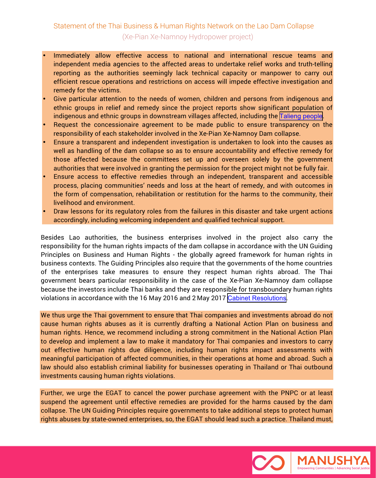### Statement of the Thai Business & Human Rights Network on the Lao Dam Collapse (Xe-Pian Xe-Namnoy Hydropower project)

- Immediately allow effective access to national and international rescue teams and independent media agencies to the affected areas to undertake relief works and truth-telling reporting as the authorities seemingly lack technical capacity or manpower to carry out efficient rescue operations and restrictions on access will impede effective investigation and remedy for the victims.
- Give particular attention to the needs of women, children and persons from indigenous and ethnic groups in relief and remedy since the project reports show significant population of indigenous and ethnic groups in downstream villages affected, including the [Talieng people](https://nyti.ms/2waYl0u).
- Request the concessionaire agreement to be made public to ensure transparency on the responsibility of each stakeholder involved in the Xe-Pian Xe-Namnoy Dam collapse.
- Ensure a transparent and independent investigation is undertaken to look into the causes as well as handling of the dam collapse so as to ensure accountability and effective remedy for those affected because the committees set up and overseen solely by the government authorities that were involved in granting the permission for the project might not be fully fair.
- Ensure access to effective remedies through an independent, transparent and accessible process, placing communities' needs and loss at the heart of remedy, and with outcomes in the form of compensation, rehabilitation or restitution for the harms to the community, their livelihood and environment.
- Draw lessons for its regulatory roles from the failures in this disaster and take urgent actions accordingly, including welcoming independent and qualified technical support.

Besides Lao authorities, the business enterprises involved in the project also carry the responsibility for the human rights impacts of the dam collapse in accordance with the UN Guiding Principles on Business and Human Rights - the globally agreed framework for human rights in business contexts. The Guiding Principles also require that the governments of the home countries of the enterprises take measures to ensure they respect human rights abroad. The Thai government bears particular responsibility in the case of the Xe-Pian Xe-Namnoy dam collapse because the investors include Thai banks and they are responsible for transboundary human rights violations in accordance with the 16 May 2016 and 2 May 2017 [Cabinet Resolutions](http://www.nationmultimedia.com/detail/national/30326432).

We thus urge the Thai government to ensure that Thai companies and investments abroad do not cause human rights abuses as it is currently drafting a National Action Plan on business and human rights. Hence, we recommend including a strong commitment in the National Action Plan to develop and implement a law to make it mandatory for Thai companies and investors to carry out effective human rights due diligence, including human rights impact assessments with meaningful participation of affected communities, in their operations at home and abroad. Such a law should also establish criminal liability for businesses operating in Thailand or Thai outbound investments causing human rights violations.

Further, we urge the EGAT to cancel the power purchase agreement with the PNPC or at least suspend the agreement until effective remedies are provided for the harms caused by the dam collapse. The UN Guiding Principles require governments to take additional steps to protect human rights abuses by state-owned enterprises, so, the EGAT should lead such a practice. Thailand must,

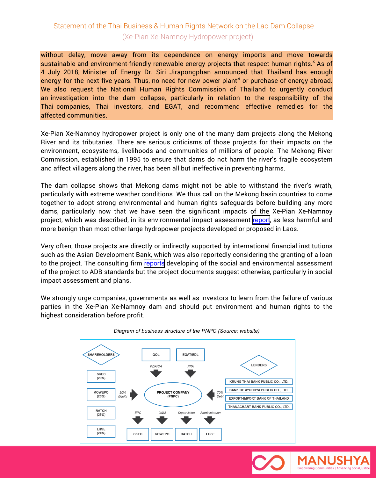### Statement of the Thai Business & Human Rights Network on the Lao Dam Collapse (Xe-Pian Xe-Namnoy Hydropower project)

without delay, move away from its dependence on energy imports and move towards sustainable and environment-friendly renewable energy projects that respect human rights.<sup>x</sup> As of 4 July 2018, Minister of Energy Dr. Siri Jirapongphan announced that Thailand has enough energy for the next five years. Thus, no need for new power plant $^{\times}$  or purchase of energy abroad. We also request the National Human Rights Commission of Thailand to urgently conduct an investigation into the dam collapse, particularly in relation to the responsibility of the Thai companies, Thai investors, and EGAT, and recommend effective remedies for the affected communities.

Xe-Pian Xe-Namnoy hydropower project is only one of the many dam projects along the Mekong River and its tributaries. There are serious criticisms of those projects for their impacts on the environment, ecosystems, livelihoods and communities of millions of people. The Mekong River Commission, established in 1995 to ensure that dams do not harm the river's fragile ecosystem and affect villagers along the river, has been all but ineffective in preventing harms.

The dam collapse shows that Mekong dams might not be able to withstand the river's wrath, particularly with extreme weather conditions. We thus call on the Mekong basin countries to come together to adopt strong environmental and human rights safeguards before building any more dams, particularly now that we have seen the significant impacts of the Xe-Pian Xe-Namnoy project, which was described, in its environmental impact assessment [report](https://bit.ly/2PbqaPa), as less harmful and more benign than most other large hydropower projects developed or proposed in Laos.

Very often, those projects are directly or indirectly supported by international financial institutions such as the Asian Development Bank, which was also reportedly considering the granting of a loan to the project. The consulting firm [reports](http://www.laoconsulting.com/Xe-Pian-Xe-Namnoy-Hydro-power.html) developing of the social and environmental assessment of the project to ADB standards but the project documents suggest otherwise, particularly in social impact assessment and plans.

We strongly urge companies, governments as well as investors to learn from the failure of various parties in the Xe-Pian Xe-Namnoy dam and should put environment and human rights to the highest consideration before profit.